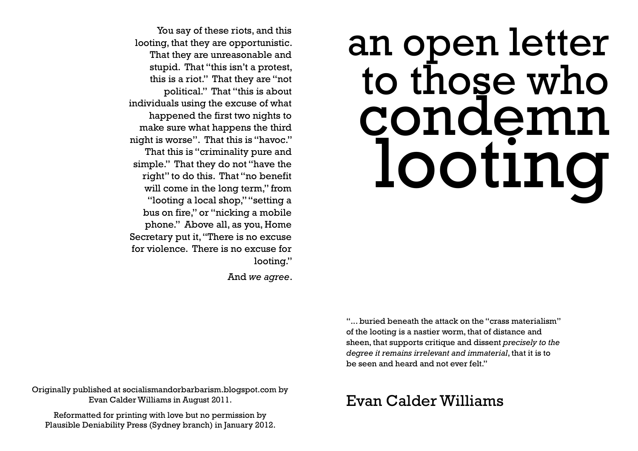# an open letter to those who condemn looting

You say of these riots, and this looting, that they are opportunistic. That they are unreasonable and stupid. That "this isn't a protest, this is a riot." That they are "not political." That "this is about individuals using the excuse of what happened the first two nights to make sure what happens the third night is worse". That this is "havoc." That this is "criminality pure and simple." That they do not "have the right" to do this. That "no benefit will come in the long term," from "looting a local shop," "setting a bus on fire," or "nicking a mobile phone." Above all, as you, Home Secretary put it, "There is no excuse for violence. There is no excuse for looting."

And *we agree*.

"... buried beneath the attack on the "crass materialism" of the looting is a nastier worm, that of distance and sheen, that supports critique and dissent *precisely to the degree it remains irrelevant and immaterial*, that it is to be seen and heard and not ever felt."

Originally published at socialismandorbarbarism.blogspot.com by Evan Calder Williams in August 2011.

Reformatted for printing with love but no permission by Plausible Deniability Press (Sydney branch) in January 2012.

# Evan Calder Williams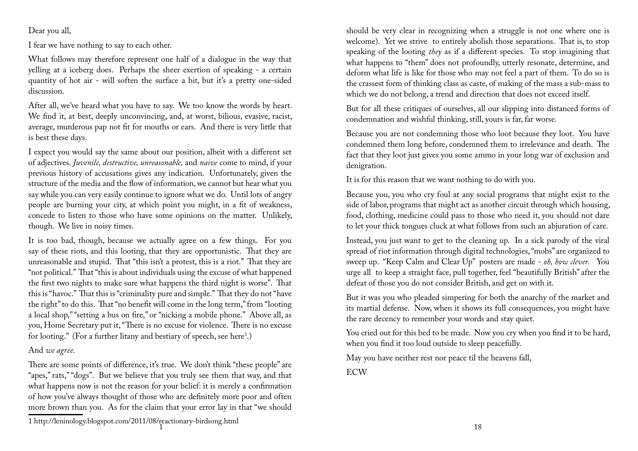Dear you all,

I fear we have nothing to say to each other.

What follows may therefore represent one half of a dialogue in the way that yelling at a iceberg does. Perhaps the sheer exertion of speaking - a certain quantity of hot air - will soften the surface a bit, but it's a pretty one-sided discussion.

After all, we've heard what you have to say. We too know the words by heart. We find it, at best, deeply unconvincing, and, at worst, bilious, evasive, racist, average, murderous pap not fit for mouths or ears. And there is very little that is best these days.

I expect you would say the same about our position, albeit with a different set of adjectives. *Juvenile, destructive, unreasonable,* and *naive* come to mind, if your previous history of accusations gives any indication. Unfortunately, given the structure of the media and the flow of information, we cannot but hear what you say while you can very easily continue to ignore what we do. Until lots of angry people are burning your city, at which point you might, in a fit of weakness, concede to listen to those who have some opinions on the matter. Unlikely, though. We live in noisy times.

It is too bad, though, because we actually agree on a few things. For you say of these riots, and this looting, that they are opportunistic. That they are unreasonable and stupid. That "this isn't a protest, this is a riot." That they are "not political." That "this is about individuals using the excuse of what happened the first two nights to make sure what happens the third night is worse". That this is "havoc." That this is "criminality pure and simple." That they do not "have the right" to do this. That "no benefit will come in the long term," from "looting a local shop," "setting a bus on fire," or "nicking a mobile phone." Above all, as you, Home Secretary put it, "There is no excuse for violence. There is no excuse for looting." (For a further litany and bestiary of speech, see here<sup>1</sup>.)

#### And *we agree*.

There are some points of difference, it's true. We don't think "these people" are "apes," rats," "dogs". But we believe that you truly see them that way, and that what happens now is not the reason for your belief: it is merely a confirmation of how you've always thought of those who are definitely more poor and often more brown than you. As for the claim that your error lay in that "we should

should be very clear in recognizing when a struggle is not one where one is welcome). Yet we strive to entirely abolish those separations. That is, to stop speaking of the looting *they* as if a different species. To stop imagining that what happens to "them" does not profoundly, utterly resonate, determine, and deform what life is like for those who may not feel a part of them. To do so is the crassest form of thinking class as caste, of making of the mass a sub-mass to which we do not belong, a trend and direction that does not exceed itself.

But for all these critiques of ourselves, all our slipping into distanced forms of condemnation and wishful thinking, still, yours is far, far worse.

Because you are not condemning those who loot because they loot. You have condemned them long before, condemned them to irrelevance and death. The fact that they loot just gives you some ammo in your long war of exclusion and denigration.

It is for this reason that we want nothing to do with you.

Because you, you who cry foul at any social programs that might exist to the side of labor, programs that might act as another circuit through which housing, food, clothing, medicine could pass to those who need it, you should not dare to let your thick tongues cluck at what follows from such an abjuration of care.

Instead, you just want to get to the cleaning up. In a sick parody of the viral spread of riot information through digital technologies, "mobs" are organized to sweep up. "Keep Calm and Clear Up" posters are made - *oh, how clever.* You urge all to keep a straight face, pull together, feel "beautifully British" after the defeat of those you do not consider British, and get on with it.

But it was you who pleaded simpering for both the anarchy of the market and its martial defense. Now, when it shows its full consequences, you might have the rare decency to remember your words and stay quiet.

You cried out for this bed to be made. Now you cry when you find it to be hard, when you find it too loud outside to sleep peacefully.

May you have neither rest nor peace til the heavens fall, ECW

<sup>1</sup> http://leninology.blogspot.com/2011/08/reactionary-birdsong.html 1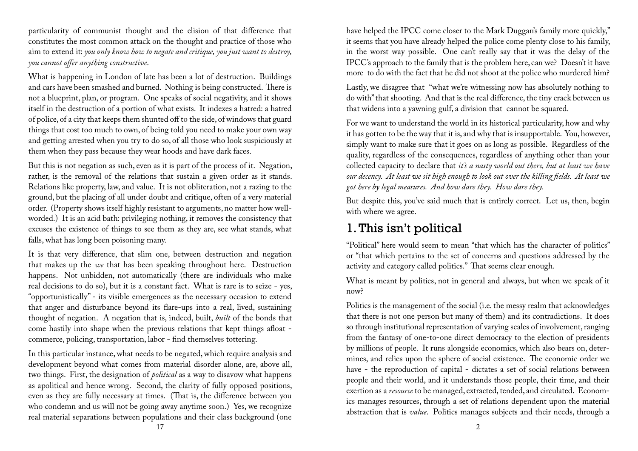particularity of communist thought and the elision of that difference that constitutes the most common attack on the thought and practice of those who aim to extend it: *you only know how to negate and critique, you just want to destroy, you cannot offer anything constructive.* 

What is happening in London of late has been a lot of destruction. Buildings and cars have been smashed and burned. Nothing is being constructed. There is not a blueprint, plan, or program. One speaks of social negativity, and it shows itself in the destruction of a portion of what exists. It indexes a hatred: a hatred of police, of a city that keeps them shunted off to the side, of windows that guard things that cost too much to own, of being told you need to make your own way and getting arrested when you try to do so, of all those who look suspiciously at them when they pass because they wear hoods and have dark faces.

But this is not negation as such, even as it is part of the process of it. Negation, rather, is the removal of the relations that sustain a given order as it stands. Relations like property, law, and value. It is not obliteration, not a razing to the ground, but the placing of all under doubt and critique, often of a very material order. (Property shows itself highly resistant to arguments, no matter how wellworded.) It is an acid bath: privileging nothing, it removes the consistency that excuses the existence of things to see them as they are, see what stands, what falls, what has long been poisoning many.

It is that very difference, that slim one, between destruction and negation that makes up the *we* that has been speaking throughout here. Destruction happens. Not unbidden, not automatically (there are individuals who make real decisions to do so), but it is a constant fact. What is rare is to seize - yes, "opportunistically" - its visible emergences as the necessary occasion to extend that anger and disturbance beyond its flare-ups into a real, lived, sustaining thought of negation. A negation that is, indeed, built, *built* of the bonds that come hastily into shape when the previous relations that kept things afloat commerce, policing, transportation, labor - find themselves tottering.

In this particular instance, what needs to be negated, which require analysis and development beyond what comes from material disorder alone, are, above all, two things. First, the designation of *political* as a way to disavow what happens as apolitical and hence wrong. Second, the clarity of fully opposed positions, even as they are fully necessary at times. (That is, the difference between you who condemn and us will not be going away anytime soon.) Yes, we recognize real material separations between populations and their class background (one

have helped the IPCC come closer to the Mark Duggan's family more quickly," it seems that you have already helped the police come plenty close to his family, in the worst way possible. One can't really say that it was the delay of the IPCC's approach to the family that is the problem here, can we? Doesn't it have more to do with the fact that he did not shoot at the police who murdered him?

Lastly, we disagree that "what we're witnessing now has absolutely nothing to do with" that shooting. And that is the real difference, the tiny crack between us that widens into a yawning gulf, a division that cannot be squared.

For we want to understand the world in its historical particularity, how and why it has gotten to be the way that it is, and why that is insupportable. You, however, simply want to make sure that it goes on as long as possible. Regardless of the quality, regardless of the consequences, regardless of anything other than your collected capacity to declare that *it's a nasty world out there, but at least we have*  our decency. At least we sit high enough to look out over the killing fields. At least we *got here by legal measures. And how dare they. How dare they.*

But despite this, you've said much that is entirely correct. Let us, then, begin with where we agree.

## 1. This isn't political

"Political" here would seem to mean "that which has the character of politics" or "that which pertains to the set of concerns and questions addressed by the activity and category called politics." That seems clear enough.

What is meant by politics, not in general and always, but when we speak of it now?

Politics is the management of the social (i.e. the messy realm that acknowledges that there is not one person but many of them) and its contradictions. It does so through institutional representation of varying scales of involvement, ranging from the fantasy of one-to-one direct democracy to the election of presidents by millions of people. It runs alongside economics, which also bears on, determines, and relies upon the sphere of social existence. The economic order we have - the reproduction of capital - dictates a set of social relations between people and their world, and it understands those people, their time, and their exertion as a *resource* to be managed, extracted, tended, and circulated. Economics manages resources, through a set of relations dependent upon the material abstraction that is *value*. Politics manages subjects and their needs, through a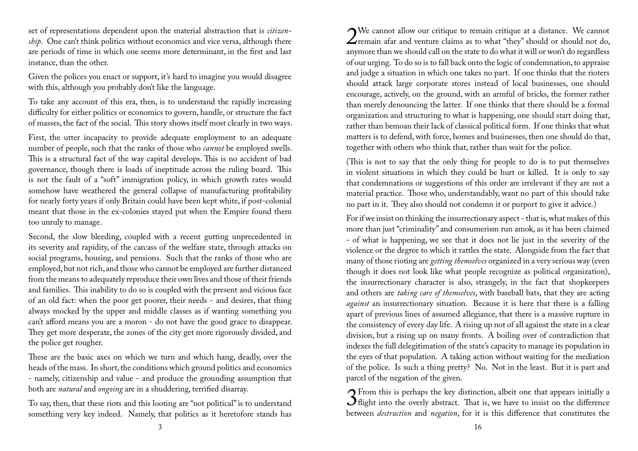set of representations dependent upon the material abstraction that is *citizenship*. One can't think politics without economics and vice versa, although there are periods of time in which one seems more determinant, in the first and last instance, than the other.

Given the polices you enact or support, it's hard to imagine you would disagree with this, although you probably don't like the language.

To take any account of this era, then, is to understand the rapidly increasing difficulty for either politics or economics to govern, handle, or structure the fact of masses, the fact of the social. This story shows itself most clearly in two ways.

First, the utter incapacity to provide adequate employment to an adequate number of people, such that the ranks of those who *cannot* be employed swells. This is a structural fact of the way capital develops. This is no accident of bad governance, though there is loads of ineptitude across the ruling board. This is not the fault of a "soft" immigration policy, in which growth rates would somehow have weathered the general collapse of manufacturing profitability for nearly forty years if only Britain could have been kept white, if post-colonial meant that those in the ex-colonies stayed put when the Empire found them too unruly to manage.

Second, the slow bleeding, coupled with a recent gutting unprecedented in its severity and rapidity, of the carcass of the welfare state, through attacks on social programs, housing, and pensions. Such that the ranks of those who are employed, but not rich, and those who cannot be employed are further distanced from the means to adequately reproduce their own lives and those of their friends and families. This inability to do so is coupled with the present and vicious face of an old fact: when the poor get poorer, their needs - and desires, that thing always mocked by the upper and middle classes as if wanting something you can't afford means you are a moron - do not have the good grace to disappear. They get more desperate, the zones of the city get more rigorously divided, and the police get rougher.

These are the basic axes on which we turn and which hang, deadly, over the heads of the mass. In short, the conditions which ground politics and economics - namely, citizenship and value - and produce the grounding assumption that both are *natural* and *ongoing* are in a shuddering, terrified disarray.

To say, then, that these riots and this looting are "not political" is to understand something very key indeed. Namely, that politics as it heretofore stands has

2We cannot allow our critique to remain critique at a distance. We cannot remain afar and venture claims as to what "they" should or should not do, anymore than we should call on the state to do what it will or won't do regardless of our urging. To do so is to fall back onto the logic of condemnation, to appraise and judge a situation in which one takes no part. If one thinks that the rioters should attack large corporate stores instead of local businesses, one should encourage, actively, on the ground, with an armful of bricks, the former rather than merely denouncing the latter. If one thinks that there should be a formal organization and structuring to what is happening, one should start doing that, rather than bemoan their lack of classical political form. If one thinks that what matters is to defend, with force, homes and businesses, then one should do that, together with others who think that, rather than wait for the police.

(This is not to say that the only thing for people to do is to put themselves in violent situations in which they could be hurt or killed. It is only to say that condemnations or suggestions of this order are irrelevant if they are not a material practice. Those who, understandably, want no part of this should take no part in it. They also should not condemn it or purport to give it advice.)

For if we insist on thinking the insurrectionary aspect - that is, what makes of this more than just "criminality" and consumerism run amok, as it has been claimed - of what is happening, we see that it does not lie just in the severity of the violence or the degree to which it rattles the state. Alongside from the fact that many of those rioting are *getting themselves* organized in a very serious way (even though it does not look like what people recognize as political organization), the insurrectionary character is also, strangely, in the fact that shopkeepers and others are *taking care of themselves*, with baseball bats, that they are acting *against* an insurrectionary situation. Because it is here that there is a falling apart of previous lines of assumed allegiance, that there is a massive rupture in the consistency of every day life. A rising up not of all against the state in a clear division, but a rising up on many fronts. A boiling over of contradiction that indexes the full delegitimation of the state's capacity to manage its population in the eyes of that population. A taking action without waiting for the mediation of the police. Is such a thing pretty? No. Not in the least. But it is part and parcel of the negation of the given.

**3** From this is perhaps the key distinction, albeit one that appears initially a  $\mathbf{3}$  flight into the overly abstract. That is, we have to insist on the difference between *destruction* and *negation*, for it is this difference that constitutes the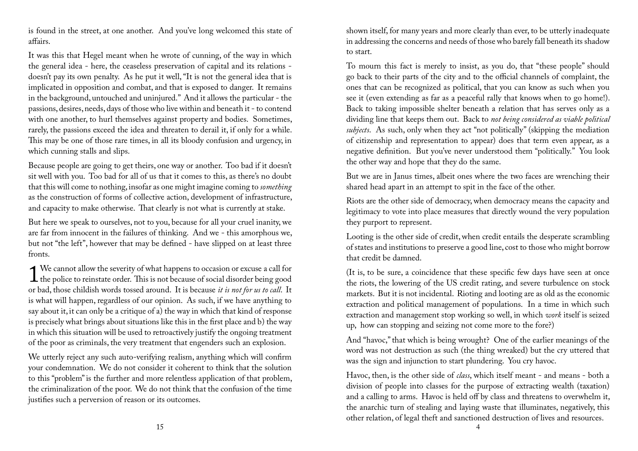is found in the street, at one another. And you've long welcomed this state of affairs.

It was this that Hegel meant when he wrote of cunning, of the way in which the general idea - here, the ceaseless preservation of capital and its relations doesn't pay its own penalty. As he put it well, "It is not the general idea that is implicated in opposition and combat, and that is exposed to danger. It remains in the background, untouched and uninjured." And it allows the particular - the passions, desires, needs, days of those who live within and beneath it - to contend with one another, to hurl themselves against property and bodies. Sometimes, rarely, the passions exceed the idea and threaten to derail it, if only for a while. This may be one of those rare times, in all its bloody confusion and urgency, in which cunning stalls and slips.

Because people are going to get theirs, one way or another. Too bad if it doesn't sit well with you. Too bad for all of us that it comes to this, as there's no doubt that this will come to nothing, insofar as one might imagine coming to *something*  as the construction of forms of collective action, development of infrastructure, and capacity to make otherwise. That clearly is not what is currently at stake.

But here we speak to ourselves, not to you, because for all your cruel inanity, we are far from innocent in the failures of thinking. And we - this amorphous we, but not "the left", however that may be defined - have slipped on at least three fronts.

1 We cannot allow the severity of what happens to occasion or excuse a call for<br>the police to reinstate order. This is not because of social disorder being good We cannot allow the severity of what happens to occasion or excuse a call for or bad, those childish words tossed around. It is because *it is not for us to call*. It is what will happen, regardless of our opinion. As such, if we have anything to say about it, it can only be a critique of a) the way in which that kind of response is precisely what brings about situations like this in the first place and b) the way in which this situation will be used to retroactively justify the ongoing treatment of the poor as criminals, the very treatment that engenders such an explosion.

We utterly reject any such auto-verifying realism, anything which will confirm your condemnation. We do not consider it coherent to think that the solution to this "problem" is the further and more relentless application of that problem, the criminalization of the poor. We do not think that the confusion of the time justifies such a perversion of reason or its outcomes.

shown itself, for many years and more clearly than ever, to be utterly inadequate in addressing the concerns and needs of those who barely fall beneath its shadow to start.

To mourn this fact is merely to insist, as you do, that "these people" should go back to their parts of the city and to the official channels of complaint, the ones that can be recognized as political, that you can know as such when you see it (even extending as far as a peaceful rally that knows when to go home!). Back to taking impossible shelter beneath a relation that has serves only as a dividing line that keeps them out. Back to *not being considered as viable political subjects*. As such, only when they act "not politically" (skipping the mediation of citizenship and representation to appear) does that term even appear, as a negative definition. But you've never understood them "politically." You look the other way and hope that they do the same.

But we are in Janus times, albeit ones where the two faces are wrenching their shared head apart in an attempt to spit in the face of the other.

Riots are the other side of democracy, when democracy means the capacity and legitimacy to vote into place measures that directly wound the very population they purport to represent.

Looting is the other side of credit, when credit entails the desperate scrambling of states and institutions to preserve a good line, cost to those who might borrow that credit be damned.

(It is, to be sure, a coincidence that these specific few days have seen at once the riots, the lowering of the US credit rating, and severe turbulence on stock markets. But it is not incidental. Rioting and looting are as old as the economic extraction and political management of populations. In a time in which such extraction and management stop working so well, in which *work* itself is seized up, how can stopping and seizing not come more to the fore?)

And "havoc," that which is being wrought? One of the earlier meanings of the word was not destruction as such (the thing wreaked) but the cry uttered that was the sign and injunction to start plundering. You cry havoc.

Havoc, then, is the other side of *class*, which itself meant - and means - both a division of people into classes for the purpose of extracting wealth (taxation) and a calling to arms. Havoc is held off by class and threatens to overwhelm it, the anarchic turn of stealing and laying waste that illuminates, negatively, this other relation, of legal theft and sanctioned destruction of lives and resources.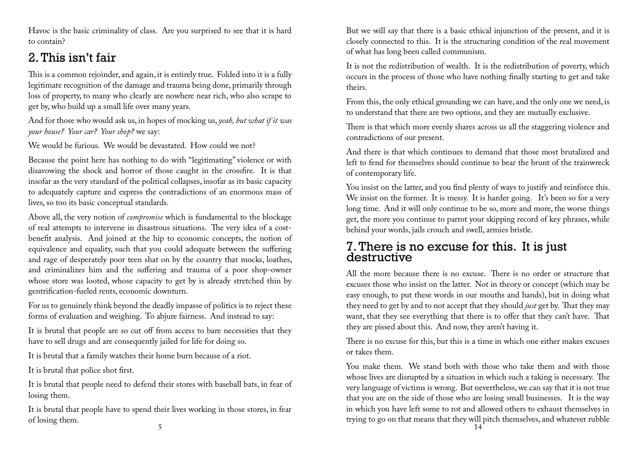Havoc is the basic criminality of class. Are you surprised to see that it is hard to contain?

## 2. This isn't fair

This is a common rejoinder, and again, it is entirely true. Folded into it is a fully legitimate recognition of the damage and trauma being done, primarily through loss of property, to many who clearly are nowhere near rich, who also scrape to get by, who build up a small life over many years.

And for those who would ask us, in hopes of mocking us, *yeah, but what if it was your house? Your car? Your shop?* we say:

We would be furious. We would be devastated. How could we not?

Because the point here has nothing to do with "legitimating" violence or with disavowing the shock and horror of those caught in the crossfire. It is that insofar as the very standard of the political collapses, insofar as its basic capacity to adequately capture and express the contradictions of an enormous mass of lives, so too its basic conceptual standards.

Above all, the very notion of *compromise* which is fundamental to the blockage of real attempts to intervene in disastrous situations. The very idea of a costbenefit analysis. And joined at the hip to economic concepts, the notion of equivalence and equality, such that you could adequate between the suffering and rage of desperately poor teen shat on by the country that mocks, loathes, and criminalizes him and the suffering and trauma of a poor shop-owner whose store was looted, whose capacity to get by is already stretched thin by gentrification-fueled rents, economic downturn.

For us to genuinely think beyond the deadly impasse of politics is to reject these forms of evaluation and weighing. To abjure fairness. And instead to say:

It is brutal that people are so cut off from access to bare necessities that they have to sell drugs and are consequently jailed for life for doing so.

It is brutal that a family watches their home burn because of a riot.

It is brutal that police shot first.

It is brutal that people need to defend their stores with baseball bats, in fear of losing them.

It is brutal that people have to spend their lives working in those stores, in fear of losing them.

But we will say that there is a basic ethical injunction of the present, and it is closely connected to this. It is the structuring condition of the real movement of what has long been called communism.

It is not the redistribution of wealth. It is the redistribution of poverty, which occurs in the process of those who have nothing finally starting to get and take theirs.

From this, the only ethical grounding we can have, and the only one we need, is to understand that there are two options, and they are mutually exclusive.

There is that which more evenly shares across us all the staggering violence and contradictions of our present.

And there is that which continues to demand that those most brutalized and left to fend for themselves should continue to bear the brunt of the trainwreck of contemporary life.

You insist on the latter, and you find plenty of ways to justify and reinforce this. We insist on the former. It is messy. It is harder going. It's been so for a very long time. And it will only continue to be so, more and more, the worse things get, the more you continue to parrot your skipping record of key phrases, while behind your words, jails crouch and swell, armies bristle.

## 7. There is no excuse for this. It is just destructive

All the more because there is no excuse. There is no order or structure that excuses those who insist on the latter. Not in theory or concept (which may be easy enough, to put these words in our mouths and hands), but in doing what they need to get by and to not accept that they should *just* get by. That they may want, that they see everything that there is to offer that they can't have. That they are pissed about this. And now, they aren't having it.

There is no excuse for this, but this is a time in which one either makes excuses or takes them.

You make them. We stand both with those who take them and with those whose lives are disrupted by a situation in which such a taking is necessary. The very language of victims is wrong. But nevertheless, we can say that it is not true that you are on the side of those who are losing small businesses. It is the way in which you have left some to rot and allowed others to exhaust themselves in trying to go on that means that they will pitch themselves, and whatever rubble

5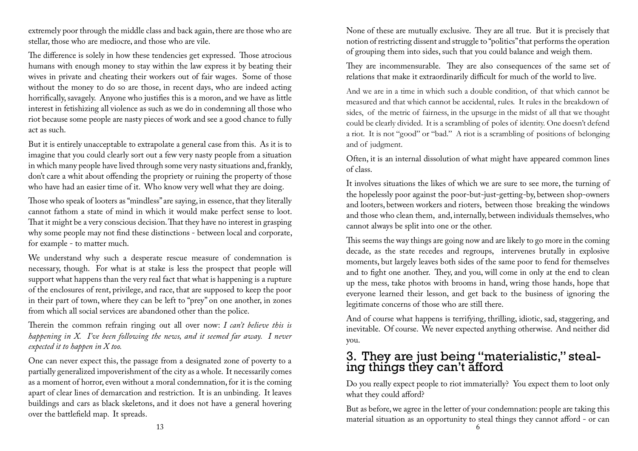extremely poor through the middle class and back again, there are those who are stellar, those who are mediocre, and those who are vile.

The difference is solely in how these tendencies get expressed. Those atrocious humans with enough money to stay within the law express it by beating their wives in private and cheating their workers out of fair wages. Some of those without the money to do so are those, in recent days, who are indeed acting horrifically, savagely. Anyone who justifies this is a moron, and we have as little interest in fetishizing all violence as such as we do in condemning all those who riot because some people are nasty pieces of work and see a good chance to fully act as such.

But it is entirely unacceptable to extrapolate a general case from this. As it is to imagine that you could clearly sort out a few very nasty people from a situation in which many people have lived through some very nasty situations and, frankly, don't care a whit about offending the propriety or ruining the property of those who have had an easier time of it. Who know very well what they are doing.

Those who speak of looters as "mindless" are saying, in essence, that they literally cannot fathom a state of mind in which it would make perfect sense to loot. That it might be a very conscious decision. That they have no interest in grasping why some people may not find these distinctions - between local and corporate, for example - to matter much.

We understand why such a desperate rescue measure of condemnation is necessary, though. For what is at stake is less the prospect that people will support what happens than the very real fact that what is happening is a rupture of the enclosures of rent, privilege, and race, that are supposed to keep the poor in their part of town, where they can be left to "prey" on one another, in zones from which all social services are abandoned other than the police.

Therein the common refrain ringing out all over now: *I can't believe this is happening in X. I've been following the news, and it seemed far away. I never expected it to happen in X too.*

One can never expect this, the passage from a designated zone of poverty to a partially generalized impoverishment of the city as a whole. It necessarily comes as a moment of horror, even without a moral condemnation, for it is the coming apart of clear lines of demarcation and restriction. It is an unbinding. It leaves buildings and cars as black skeletons, and it does not have a general hovering over the battlefield map. It spreads.

None of these are mutually exclusive. They are all true. But it is precisely that notion of restricting dissent and struggle to "politics" that performs the operation of grouping them into sides, such that you could balance and weigh them.

They are incommensurable. They are also consequences of the same set of relations that make it extraordinarily difficult for much of the world to live.

And we are in a time in which such a double condition, of that which cannot be measured and that which cannot be accidental, rules. It rules in the breakdown of sides, of the metric of fairness, in the upsurge in the midst of all that we thought could be clearly divided. It is a scrambling of poles of identity. One doesn't defend a riot. It is not "good" or "bad." A riot is a scrambling of positions of belonging and of judgment.

Often, it is an internal dissolution of what might have appeared common lines of class.

It involves situations the likes of which we are sure to see more, the turning of the hopelessly poor against the poor-but-just-getting-by, between shop-owners and looters, between workers and rioters, between those breaking the windows and those who clean them, and, internally, between individuals themselves, who cannot always be split into one or the other.

This seems the way things are going now and are likely to go more in the coming decade, as the state recedes and regroups, intervenes brutally in explosive moments, but largely leaves both sides of the same poor to fend for themselves and to fight one another. They, and you, will come in only at the end to clean up the mess, take photos with brooms in hand, wring those hands, hope that everyone learned their lesson, and get back to the business of ignoring the legitimate concerns of those who are still there.

And of course what happens is terrifying, thrilling, idiotic, sad, staggering, and inevitable. Of course. We never expected anything otherwise. And neither did you.

### 3. They are just being "materialistic," stealing things they can't afford

Do you really expect people to riot immaterially? You expect them to loot only what they could afford?

But as before, we agree in the letter of your condemnation: people are taking this material situation as an opportunity to steal things they cannot afford - or can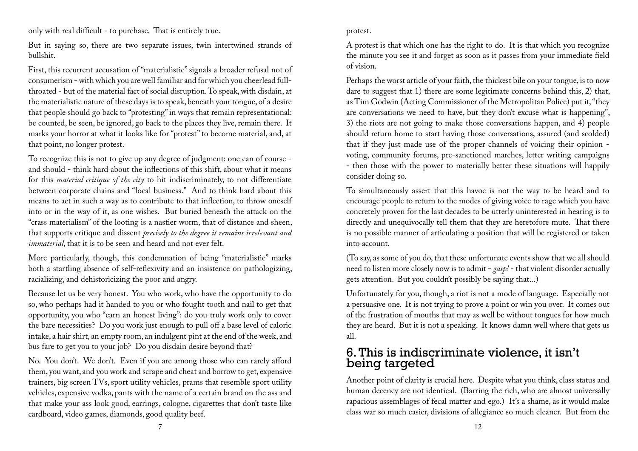only with real difficult - to purchase. That is entirely true.

But in saying so, there are two separate issues, twin intertwined strands of bullshit.

First, this recurrent accusation of "materialistic" signals a broader refusal not of consumerism - with which you are well familiar and for which you cheerlead fullthroated - but of the material fact of social disruption. To speak, with disdain, at the materialistic nature of these days is to speak, beneath your tongue, of a desire that people should go back to "protesting" in ways that remain representational: be counted, be seen, be ignored, go back to the places they live, remain there. It marks your horror at what it looks like for "protest" to become material, and, at that point, no longer protest.

To recognize this is not to give up any degree of judgment: one can of course and should - think hard about the inflections of this shift, about what it means for this *material critique of the city* to hit indiscriminately, to not differentiate between corporate chains and "local business." And to think hard about this means to act in such a way as to contribute to that inflection, to throw oneself into or in the way of it, as one wishes. But buried beneath the attack on the "crass materialism" of the looting is a nastier worm, that of distance and sheen, that supports critique and dissent *precisely to the degree it remains irrelevant and immaterial*, that it is to be seen and heard and not ever felt.

More particularly, though, this condemnation of being "materialistic" marks both a startling absence of self-reflexivity and an insistence on pathologizing, racializing, and dehistoricizing the poor and angry.

Because let us be very honest. You who work, who have the opportunity to do so, who perhaps had it handed to you or who fought tooth and nail to get that opportunity, you who "earn an honest living": do you truly work only to cover the bare necessities? Do you work just enough to pull off a base level of caloric intake, a hair shirt, an empty room, an indulgent pint at the end of the week, and bus fare to get you to your job? Do you disdain desire beyond that?

No. You don't. We don't. Even if you are among those who can rarely afford them, you want, and you work and scrape and cheat and borrow to get, expensive trainers, big screen TVs, sport utility vehicles, prams that resemble sport utility vehicles, expensive vodka, pants with the name of a certain brand on the ass and that make your ass look good, earrings, cologne, cigarettes that don't taste like cardboard, video games, diamonds, good quality beef.

#### protest.

A protest is that which one has the right to do. It is that which you recognize the minute you see it and forget as soon as it passes from your immediate field of vision.

Perhaps the worst article of your faith, the thickest bile on your tongue, is to now dare to suggest that 1) there are some legitimate concerns behind this, 2) that, as Tim Godwin (Acting Commissioner of the Metropolitan Police) put it, "they are conversations we need to have, but they don't excuse what is happening", 3) the riots are not going to make those conversations happen, and 4) people should return home to start having those conversations, assured (and scolded) that if they just made use of the proper channels of voicing their opinion voting, community forums, pre-sanctioned marches, letter writing campaigns - then those with the power to materially better these situations will happily consider doing so.

To simultaneously assert that this havoc is not the way to be heard and to encourage people to return to the modes of giving voice to rage which you have concretely proven for the last decades to be utterly uninterested in hearing is to directly and unequivocally tell them that they are heretofore mute. That there is no possible manner of articulating a position that will be registered or taken into account.

(To say, as some of you do, that these unfortunate events show that we all should need to listen more closely now is to admit - *gasp!* - that violent disorder actually gets attention. But you couldn't possibly be saying that...)

Unfortunately for you, though, a riot is not a mode of language. Especially not a persuasive one. It is not trying to prove a point or win you over. It comes out of the frustration of mouths that may as well be without tongues for how much they are heard. But it is not a speaking. It knows damn well where that gets us all.

### 6. This is indiscriminate violence, it isn't being targeted

Another point of clarity is crucial here. Despite what you think, class status and human decency are not identical. (Barring the rich, who are almost universally rapacious assemblages of fecal matter and ego.) It's a shame, as it would make class war so much easier, divisions of allegiance so much cleaner. But from the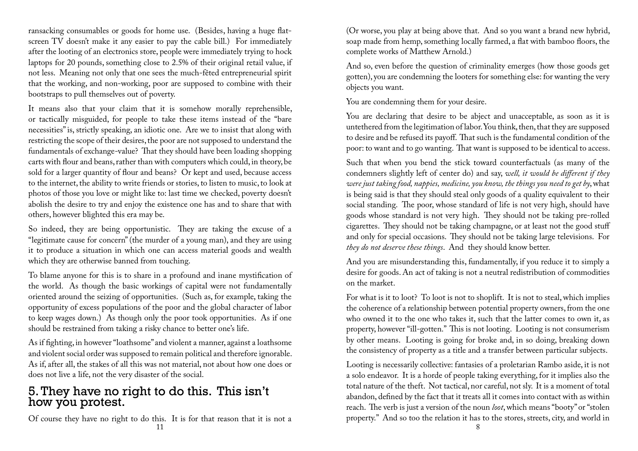ransacking consumables or goods for home use. (Besides, having a huge flatscreen TV doesn't make it any easier to pay the cable bill.) For immediately after the looting of an electronics store, people were immediately trying to hock laptops for 20 pounds, something close to 2.5% of their original retail value, if not less. Meaning not only that one sees the much-fêted entrepreneurial spirit that the working, and non-working, poor are supposed to combine with their bootstraps to pull themselves out of poverty.

It means also that your claim that it is somehow morally reprehensible, or tactically misguided, for people to take these items instead of the "bare necessities" is, strictly speaking, an idiotic one. Are we to insist that along with restricting the scope of their desires, the poor are not supposed to understand the fundamentals of exchange-value? That they should have been loading shopping carts with flour and beans, rather than with computers which could, in theory, be sold for a larger quantity of flour and beans? Or kept and used, because access to the internet, the ability to write friends or stories, to listen to music, to look at photos of those you love or might like to: last time we checked, poverty doesn't abolish the desire to try and enjoy the existence one has and to share that with others, however blighted this era may be.

So indeed, they are being opportunistic. They are taking the excuse of a "legitimate cause for concern" (the murder of a young man), and they are using it to produce a situation in which one can access material goods and wealth which they are otherwise banned from touching.

To blame anyone for this is to share in a profound and inane mystification of the world. As though the basic workings of capital were not fundamentally oriented around the seizing of opportunities. (Such as, for example, taking the opportunity of excess populations of the poor and the global character of labor to keep wages down.) As though only the poor took opportunities. As if one should be restrained from taking a risky chance to better one's life.

As if fighting, in however "loathsome" and violent a manner, against a loathsome and violent social order was supposed to remain political and therefore ignorable. As if, after all, the stakes of all this was not material, not about how one does or does not live a life, not the very disaster of the social.

### 5. They have no right to do this. This isn't how you protest.

Of course they have no right to do this. It is for that reason that it is not a 11

(Or worse, you play at being above that. And so you want a brand new hybrid, soap made from hemp, something locally farmed, a flat with bamboo floors, the complete works of Matthew Arnold.)

And so, even before the question of criminality emerges (how those goods get gotten), you are condemning the looters for something else: for wanting the very objects you want.

You are condemning them for your desire.

You are declaring that desire to be abject and unacceptable, as soon as it is untethered from the legitimation of labor. You think, then, that they are supposed to desire and be refused its payoff. That such is the fundamental condition of the poor: to want and to go wanting. That want is supposed to be identical to access.

Such that when you bend the stick toward counterfactuals (as many of the condemners slightly left of center do) and say, *well, it would be different if they were just taking food, nappies, medicine, you know, the things you need to get by*, what is being said is that they should steal only goods of a quality equivalent to their social standing. The poor, whose standard of life is not very high, should have goods whose standard is not very high. They should not be taking pre-rolled cigarettes. They should not be taking champagne, or at least not the good stuff and only for special occasions. They should not be taking large televisions. For *they do not deserve these things*. And they should know better.

And you are misunderstanding this, fundamentally, if you reduce it to simply a desire for goods. An act of taking is not a neutral redistribution of commodities on the market.

For what is it to loot? To loot is not to shoplift. It is not to steal, which implies the coherence of a relationship between potential property owners, from the one who owned it to the one who takes it, such that the latter comes to own it, as property, however "ill-gotten." This is not looting. Looting is not consumerism by other means. Looting is going for broke and, in so doing, breaking down the consistency of property as a title and a transfer between particular subjects.

Looting is necessarily collective: fantasies of a proletarian Rambo aside, it is not a solo endeavor. It is a horde of people taking everything, for it implies also the total nature of the theft. Not tactical, nor careful, not sly. It is a moment of total abandon, defined by the fact that it treats all it comes into contact with as within reach. The verb is just a version of the noun *loot*, which means "booty" or "stolen property." And so too the relation it has to the stores, streets, city, and world in